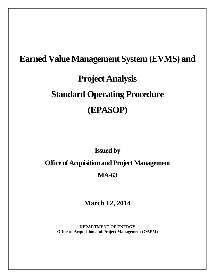# **Earned Value Management System (EVMS) and Project Analysis Standard Operating Procedure (EPASOP)**

**Issued by** 

**Office of Acquisition and Project Management**

# **MA-63**

**March 12, 2014**

**DEPARTMENT OF ENERGY Office of Acquisition and Project Management (OAPM)**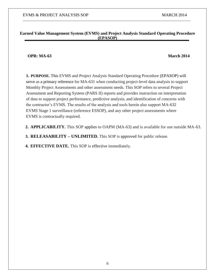#### **Earned Value Management System (EVMS) and Project Analysis Standard Operating Procedure (EPASOP)**

#### **OPR: MA-63 March 2014**

**1. PURPOSE.** This EVMS and Project Analysis Standard Operating Procedure (EPASOP) will serve as a primary reference for MA-631 when conducting project-level data analysis to support Monthly Project Assessments and other assessment needs. This SOP refers to several Project Assessment and Reporting System (PARS II) reports and provides instruction on interpretation of data to support project performance, predictive analysis, and identification of concerns with the contractor's EVMS. The results of the analysis and tools herein also support MA-632 EVMS Stage 1 surveillance (reference ESSOP), and any other project assessments where EVMS is contractually required.

**2. APPLICABILITY.** This SOP applies to OAPM (MA-63) and is available for use outside MA-63.

**3. RELEASABILITY – UNLIMITED.** This SOP is approved for public release.

**4. EFFECTIVE DATE.** This SOP is effective immediately.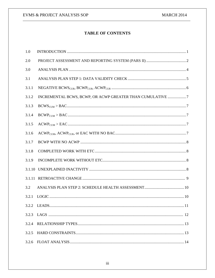# **TABLE OF CONTENTS**

| 1.0   |                                                           |
|-------|-----------------------------------------------------------|
| 2.0   |                                                           |
| 3.0   |                                                           |
| 3.1   |                                                           |
| 3.1.1 |                                                           |
| 3.1.2 | INCREMENTAL BCWS, BCWP, OR ACWP GREATER THAN CUMULATIVE 7 |
| 3.1.3 |                                                           |
| 3.1.4 |                                                           |
| 3.1.5 |                                                           |
| 3.1.6 |                                                           |
| 3.1.7 |                                                           |
| 3.1.8 |                                                           |
| 3.1.9 |                                                           |
|       |                                                           |
|       |                                                           |
| 3.2   |                                                           |
| 3.2.1 |                                                           |
|       | 3.2.2 LEADS.                                              |
| 3.2.3 |                                                           |
| 3.2.4 |                                                           |
| 3.2.5 |                                                           |
| 3.2.6 |                                                           |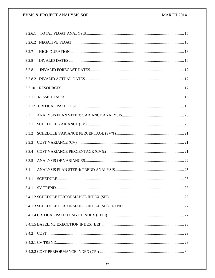# EVMS & PROJECT ANALYSIS SOP

| 3.2.7   |  |
|---------|--|
| 3.2.8   |  |
| 3.2.8.1 |  |
|         |  |
| 3.2.10  |  |
|         |  |
|         |  |
| 3.3     |  |
| 3.3.1   |  |
| 3.3.2   |  |
| 3.3.3   |  |
| 3.3.4   |  |
| 3.3.5   |  |
| 3.4     |  |
| 3.4.1   |  |
|         |  |
|         |  |
|         |  |
|         |  |
|         |  |
|         |  |
|         |  |
|         |  |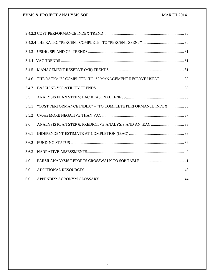| 3.4.3 |                                                               |
|-------|---------------------------------------------------------------|
|       |                                                               |
| 3.4.5 |                                                               |
| 3.4.6 | THE RATIO: "% COMPLETE" TO "% MANAGEMENT RESERVE USED"  32    |
| 3.4.7 |                                                               |
| 3.5   |                                                               |
| 3.5.1 | "COST PERFORMANCE INDEX" - "TO COMPLETE PERFORMANCE INDEX" 36 |
| 3.5.2 |                                                               |
| 3.6   |                                                               |
| 3.6.1 |                                                               |
| 3.6.2 |                                                               |
| 3.6.3 |                                                               |
| 4.0   |                                                               |
| 5.0   |                                                               |
| 6.0   |                                                               |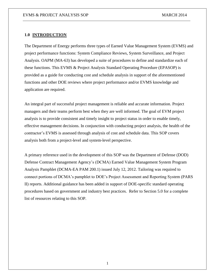#### **1.0 INTRODUCTION**

The Department of Energy performs three types of Earned Value Management System (EVMS) and project performance functions: System Compliance Reviews, System Surveillance, and Project Analysis. OAPM (MA-63) has developed a suite of procedures to define and standardize each of these functions. This EVMS & Project Analysis Standard Operating Procedure (EPASOP) is provided as a guide for conducting cost and schedule analysis in support of the aforementioned functions and other DOE reviews where project performance and/or EVMS knowledge and application are required.

An integral part of successful project management is reliable and accurate information. Project managers and their teams perform best when they are well informed. The goal of EVM project analysis is to provide consistent and timely insight to project status in order to enable timely, effective management decisions. In conjunction with conducting project analysis, the health of the contractor's EVMS is assessed through analysis of cost and schedule data. This SOP covers analysis both from a project-level and system-level perspective.

A primary reference used in the development of this SOP was the Department of Defense (DOD) Defense Contract Management Agency's (DCMA) Earned Value Management System Program Analysis Pamphlet (DCMA-EA PAM 200.1) issued July 12, 2012. Tailoring was required to connect portions of DCMA's pamphlet to DOE's Project Assessment and Reporting System (PARS II) reports. Additional guidance has been added in support of DOE-specific standard operating procedures based on government and industry best practices. Refer to Section 5.0 for a complete list of resources relating to this SOP.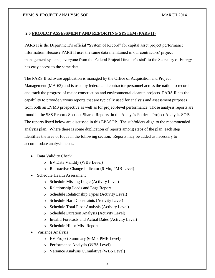#### **2.0 PROJECT ASSESSMENT AND REPORTING SYSTEM (PARS II)**

PARS II is the Department's official "System of Record" for capital asset project performance information. Because PARS II uses the same data maintained in our contractors' project management systems, everyone from the Federal Project Director's staff to the Secretary of Energy has easy access to the same data.

The PARS II software application is managed by the Office of Acquisition and Project Management (MA-63) and is used by federal and contractor personnel across the nation to record and track the progress of major construction and environmental cleanup projects. PARS II has the capability to provide various reports that are typically used for analysis and assessment purposes from both an EVMS prospective as well as for project-level performance. Those analysis reports are found in the SSS Reports Section, Shared Reports, in the Analysis Folder – Project Analysis SOP. The reports listed below are discussed in this EPASOP. The subfolders align to the recommended analysis plan. Where there is some duplication of reports among steps of the plan, each step identifies the area of focus in the following section. Reports may be added as necessary to accommodate analysis needs.

- Data Validity Check
	- o EV Data Validity (WBS Level)
	- o Retroactive Change Indicator (6-Mo, PMB Level)
- Schedule Health Assessment
	- o Schedule Missing Logic (Activity Level)
	- o Relationship Leads and Lags Report
	- o Schedule Relationship Types (Activity Level)
	- o Schedule Hard Constraints (Activity Level)
	- o Schedule Total Float Analysis (Activity Level)
	- o Schedule Duration Analysis (Activity Level)
	- o Invalid Forecasts and Actual Dates (Activity Level)
	- o Schedule Hit or Miss Report
- Variance Analysis
	- o EV Project Summary (6-Mo, PMB Level)
	- o Performance Analysis (WBS Level)
	- o Variance Analysis Cumulative (WBS Level)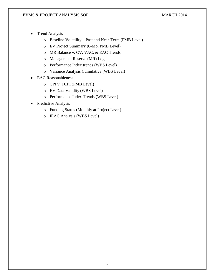- Trend Analysis
	- o Baseline Volatility Past and Near-Term (PMB Level)
	- o EV Project Summary (6-Mo, PMB Level)
	- o MR Balance v. CV, VAC, & EAC Trends
	- o Management Reserve (MR) Log
	- o Performance Index trends (WBS Level)
	- o Variance Analysis Cumulative (WBS Level)
- EAC Reasonableness
	- o CPI v. TCPI (PMB Level)
	- o EV Data Validity (WBS Level)
	- o Performance Index Trends (WBS Level)
- Predictive Analysis
	- o Funding Status (Monthly at Project Level)
	- o IEAC Analysis (WBS Level)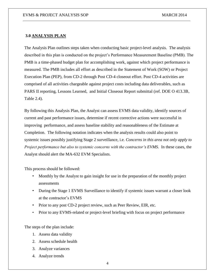#### **3.0 ANALYSIS PLAN**

The Analysis Plan outlines steps taken when conducting basic project-level analysis. The analysis described in this plan is conducted on the project's Performance Measurement Baseline (PMB). The PMB is a time-phased budget plan for accomplishing work, against which project performance is measured. The PMB includes all effort as described in the Statement of Work (SOW) or Project Execution Plan (PEP), from CD-2 through Post CD-4 closeout effort. Post CD-4 activities are comprised of all activities chargeable against project costs including data deliverables, such as PARS II reporting, Lessons Learned, and Initial Closeout Report submittal (ref. DOE O 413.3B, Table 2.4).

By following this Analysis Plan, the Analyst can assess EVMS data validity, identify sources of current and past performance issues, determine if recent corrective actions were successful in improving performance, and assess baseline stability and reasonableness of the Estimate at Completion. The following notation indicates when the analysis results could also point to systemic issues possibly justifying Stage 2 surveillance, i.e. *Concerns in this area not only apply to Project performance but also to systemic concerns with the contractor's EVMS*. In these cases, the Analyst should alert the MA-632 EVM Specialists.

This process should be followed:

- Monthly by the Analyst to gain insight for use in the preparation of the monthly project assessments
- During the Stage 1 EVMS Surveillance to identify if systemic issues warrant a closer look at the contractor's EVMS
- Prior to any post CD-2 project review, such as Peer Review, EIR, etc.
- Prior to any EVMS-related or project-level briefing with focus on project performance

The steps of the plan include:

- 1. Assess data validity
- 2. Assess schedule health
- 3. Analyze variances
- 4. Analyze trends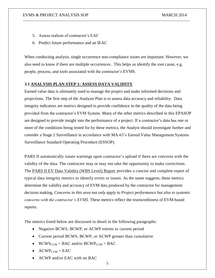- 5. Assess realism of contractor's EAC
- 6. Predict future performance and an IEAC

When conducting analysis, single occurrence non-compliance issues are important. However, we also need to know if there are multiple occurrences. This helps us identify the root cause, e.g. people, process, and tools associated with the contractor's EVMS.

#### **3.1 ANALYSIS PLAN STEP 1: ASSESS DATA VALIDITY**

Earned value data is ultimately used to manage the project and make informed decisions and projections. The first step of the Analysis Plan is to assess data accuracy and reliability. Data integrity indicators are metrics designed to provide confidence in the quality of the data being provided from the contractor's EVM System. Many of the other metrics described in this EPASOP are designed to provide insight into the performance of a project. If a contractor's data has one or more of the conditions being tested for by these metrics, the Analyst should investigate further and consider a Stage 2 Surveillance in accordance with MA-63's Earned Value Management Systems Surveillance Standard Operating Procedure (ESSOP).

PARS II automatically issues warnings upon contractor's upload if there are concerns with the validity of the data. The contractor may or may not take the opportunity to make corrections. The PARS II EV Data Validity (WBS Level) Report provides a concise and complete report of typical data integrity metrics to identify errors or issues. As the name suggests, these metrics determine the validity and accuracy of EVM data produced by the contractor for management decision making. *Concerns in this area not only apply to Project performance but also to systemic concerns with the contractor's EVMS.* These metrics reflect the trustworthiness of EVM-based reports.

The metrics listed below are discussed in detail in the following paragraphs:

- Negative BCWS, BCWP, or ACWP entries in current period
- Current period BCWS, BCWP, or ACWP greater than cumulative
- $\bullet$  BCWS<sub>CUM</sub> > BAC and/or BCWP<sub>CUM</sub> > BAC
- $\bullet$  ACWP<sub>CUM</sub> > EAC
- ACWP and/or EAC with no BAC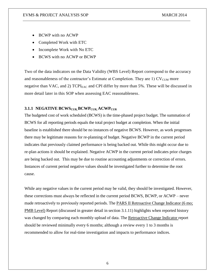- BCWP with no ACWP
- Completed Work with ETC
- Incomplete Work with No ETC
- BCWS with no ACWP or BCWP

Two of the data indicators on the Data Validity (WBS Level) Report correspond to the accuracy and reasonableness of the contractor's Estimate at Completion. They are  $1)$  CV<sub>CUM</sub> more negative than VAC, and 2)  $TCPI<sub>EAC</sub>$  and CPI differ by more than 5%. These will be discussed in more detail later in this SOP when assessing EAC reasonableness.

# **3.1.1 NEGATIVE BCWSCUR, BCWPCUR, ACWPCUR**

The budgeted cost of work scheduled (BCWS) is the time-phased project budget. The summation of BCWS for all reporting periods equals the total project budget at completion. When the initial baseline is established there should be no instances of negative BCWS. However, as work progresses there may be legitimate reasons for re-planning of budget. Negative BCWP in the current period indicates that previously claimed performance is being backed out. While this might occur due to re-plan actions it should be explained. Negative ACWP in the current period indicates prior charges are being backed out. This may be due to routine accounting adjustments or correction of errors. Instances of current period negative values should be investigated further to determine the root cause.

While any negative values in the current period may be valid, they should be investigated. However, these corrections must always be reflected in the current period BCWS, BCWP, or ACWP – never made retroactively to previously reported periods. The **PARS II Retroactive Change Indicator** (6 mo; PMB Level) Report (discussed in greater detail in section 3.1.11) highlights when reported history was changed by comparing each monthly upload of data. The Retroactive Change Indicator report should be reviewed minimally every 6 months; although a review every 1 to 3 months is recommended to allow for real-time investigation and impacts to performance indices.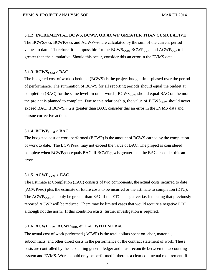#### **3.1.2 INCREMENTAL BCWS, BCWP, OR ACWP GREATER THAN CUMULATIVE**

The BCWS<sub>CUM</sub>, BCWP<sub>CUM</sub>, and ACWP<sub>CUM</sub> are calculated by the sum of the current period values to date. Therefore, it is impossible for the  $BCWS_{CUR}$ ,  $BCWP_{CUR}$ , and  $ACWP_{CUR}$  to be greater than the cumulative. Should this occur, consider this an error in the EVMS data.

#### **3.1.3 BCWSCUM > BAC**

The budgeted cost of work scheduled (BCWS) is the project budget time-phased over the period of performance. The summation of BCWS for all reporting periods should equal the budget at completion (BAC) for the same level. In other words,  $BCWS_{CUM}$  should equal BAC on the month the project is planned to complete. Due to this relationship, the value of  $\text{BCWS}_{\text{CUM}}$  should never exceed BAC. If BCWS<sub>CUM</sub> is greater than BAC, consider this an error in the EVMS data and pursue corrective action.

## **3.1.4 BCWPCUM > BAC**

The budgeted cost of work performed (BCWP) is the amount of BCWS earned by the completion of work to date. The  $B CWP_{CUM}$  may not exceed the value of BAC. The project is considered complete when  $\text{BCWP}_{\text{CUM}}$  equals BAC. If  $\text{BCWP}_{\text{CUM}}$  is greater than the BAC, consider this an error.

#### **3.1.5**  $\text{ACWP}_{\text{CUM}} > \text{EAC}$

The Estimate at Completion (EAC) consists of two components, the actual costs incurred to date  $(ACWP<sub>CUM</sub>)$  plus the estimate of future costs to be incurred or the estimate to completion (ETC). The  $ACWP_{CUM}$  can only be greater than EAC if the ETC is negative; i.e. indicating that previously reported ACWP will be reduced. There may be limited cases that would require a negative ETC, although not the norm. If this condition exists, further investigation is required.

#### **3.1.6 ACWPCUM, ACWPCUR, or EAC WITH NO BAC**

The actual cost of work performed (ACWP) is the total dollars spent on labor, material, subcontracts, and other direct costs in the performance of the contract statement of work. These costs are controlled by the accounting general ledger and must reconcile between the accounting system and EVMS. Work should only be performed if there is a clear contractual requirement. If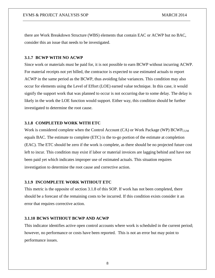there are Work Breakdown Structure (WBS) elements that contain EAC or ACWP but no BAC, consider this an issue that needs to be investigated.

#### **3.1.7 BCWP WITH NO ACWP**

Since work or materials must be paid for, it is not possible to earn BCWP without incurring ACWP. For material receipts not yet billed, the contractor is expected to use estimated actuals to report ACWP in the same period as the BCWP, thus avoiding false variances. This condition may also occur for elements using the Level of Effort (LOE) earned value technique. In this case, it would signify the support work that was planned to occur is not occurring due to some delay. The delay is likely in the work the LOE function would support. Either way, this condition should be further investigated to determine the root cause.

#### **3.1.8 COMPLETED WORK WITH ETC**

Work is considered complete when the Control Account  $(CA)$  or Work Package (WP) BCWP<sub>CUM</sub> equals BAC. The estimate to complete (ETC) is the to-go portion of the estimate at completion (EAC). The ETC should be zero if the work is complete, as there should be no projected future cost left to incur. This condition may exist if labor or material invoices are lagging behind and have not been paid yet which indicates improper use of estimated actuals. This situation requires investigation to determine the root cause and corrective action.

## **3.1.9 INCOMPLETE WORK WITHOUT ETC**

This metric is the opposite of section 3.1.8 of this SOP. If work has not been completed, there should be a forecast of the remaining costs to be incurred. If this condition exists consider it an error that requires corrective action.

#### **3.1.10 BCWS WITHOUT BCWP AND ACWP**

This indicator identifies active open control accounts where work is scheduled in the current period; however, no performance or costs have been reported. This is not an error but may point to performance issues.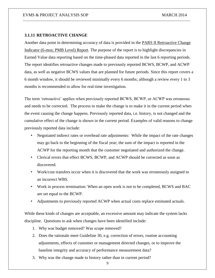#### **3.1.11 RETROACTIVE CHANGE**

Another data point in determining accuracy of data is provided in the PARS II Retroactive Change Indicator (6-mos; PMB Level) Report. The purpose of the report is to highlight discrepancies in Earned Value data reporting based on the time-phased data reported in the last 6 reporting periods. The report identifies retroactive changes made to previously reported BCWS, BCWP, and ACWP data, as well as negative BCWS values that are planned for future periods. Since this report covers a 6 month window, it should be reviewed minimally every 6 months; although a review every 1 to 3 months is recommended to allow for real-time investigation.

The term 'retroactive' applies when previously reported BCWS, BCWP, or ACWP was erroneous and needs to be corrected. The process to make the change is to make it in the current period when the event causing the change happens. Previously reported data, i.e. history, is not changed and the cumulative effect of the change is shown in the current period. Examples of valid reasons to change previously reported data include:

- Negotiated indirect rates or overhead rate adjustments: While the impact of the rate changes may go back to the beginning of the fiscal year; the sum of the impact is reported in the ACWP for the reporting month that the customer negotiated and authorized the change.
- Clerical errors that effect BCWS, BCWP, and ACWP should be corrected as soon as discovered.
- Work/cost transfers occur when it is discovered that the work was erroneously assigned to an incorrect WBS.
- Work in process termination: When an open work is not to be completed, BCWS and BAC are set equal to the BCWP.
- Adjustments to previously reported ACWP when actual costs replace estimated actuals.

While these kinds of changes are acceptable, an excessive amount may indicate the system lacks discipline. Questions to ask when changes have been identified include:

- 1. Why was budget removed? Was scope removed?
- 2. Does the rationale meet Guideline 30, e.g. correction of errors, routine accounting adjustments, effects of customer or management directed changes, or to improve the baseline integrity and accuracy of performance measurement data?
- 3. Why was the change made to history rather than in current period?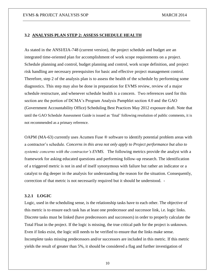#### **3.2 ANALYSIS PLAN STEP 2: ASSESS SCHEDULE HEALTH**

As stated in the ANSI/EIA-748 (current version), the project schedule and budget are an integrated time-oriented plan for accomplishment of work scope requirements on a project. Schedule planning and control, budget planning and control, work scope definition, and project risk handling are necessary prerequisites for basic and effective project management control. Therefore, step 2 of the analysis plan is to assess the health of the schedule by performing some diagnostics. This step may also be done in preparation for EVMS review, review of a major schedule restructure, and whenever schedule health is a concern. Two references used for this section are the portion of DCMA's Program Analysis Pamphlet section 4.0 and the GAO (Government Accountability Office) Scheduling Best Practices May 2012 exposure draft. Note that until the GAO Schedule Assessment Guide is issued as 'final' following resolution of public comments, it is not recommended as a primary reference.

OAPM (MA-63) currently uses Acumen Fuse ® software to identify potential problem areas with a contractor's schedule. *Concerns in this area not only apply to Project performance but also to systemic concerns with the contractor's EVMS*. The following metrics provide the analyst with a framework for asking educated questions and performing follow-up research. The identification of a triggered metric is not in and of itself synonymous with failure but rather an indicator or a catalyst to dig deeper in the analysis for understanding the reason for the situation. Consequently, correction of that metric is not necessarily required but it should be understood. -

#### **3.2.1 LOGIC**

Logic, used in the scheduling sense, is the relationship tasks have to each other. The objective of this metric is to ensure each task has at least one predecessor and successor link, i.e. logic links. Discrete tasks must be linked (have predecessors and successors) in order to properly calculate the Total Float in the project. If the logic is missing, the true critical path for the project is unknown. Even if links exist, the logic still needs to be verified to ensure that the links make sense. Incomplete tasks missing predecessors and/or successors are included in this metric. If this metric yields the result of greater than 5%, it should be considered a flag and further investigation of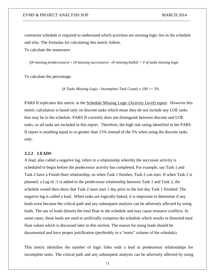contractor schedule is required to understand which activities are missing logic ties in the schedule and why. The formulas for calculating this metric follow.

To calculate the numerator:

*[(# missing predecessors) + (# missing successors) - (# missing both)] = # of tasks missing logic*

To calculate the percentage:

[*# Tasks Missing Logic / Incomplete Task Count*] x 100 <= 5%

PARS II replicates this metric in the Schedule Missing Logic (Activity Level) report. However this metric calculation is based only on discrete tasks which mean they do not include any LOE tasks that may be in the schedule. PARS II currently does not distinguish between discrete and LOE tasks, so all tasks are included in this report. Therefore, the high risk rating identified in the PARS II report is anything equal to or greater than 15% instead of the 5% when using the discrete tasks only.

#### **3.2.2 LEADS**

A lead, also called a negative lag, refers to a relationship whereby the successor activity is scheduled to begin before the predecessor activity has completed. For example, say Task 1 and Task 2 have a Finish-Start relationship, so when Task 1 finishes, Task 2 can start. If when Task 2 is planned, a Lag of -1 is added to the predecessor relationship between Task 1 and Task 2, the schedule would then show that Task 2 must start 1 day prior to the last day Task 1 finished. The negative lag is called a lead. When tasks are logically linked, it is important to determine if any leads exist because the critical path and any subsequent analysis can be adversely affected by using leads. The use of leads distorts the total float in the schedule and may cause resource conflicts. In some cases, these leads are used to artificially compress the schedule which results in distorted total float values which is discussed later in this section. The reason for using leads should be documented and have proper justification (preferably in a "notes" column of the schedule).

This metric identifies the number of logic links with a lead in predecessor relationships for incomplete tasks. The critical path and any subsequent analysis can be adversely affected by using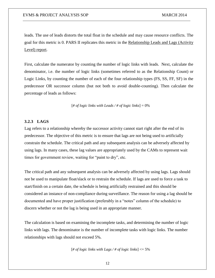leads. The use of leads distorts the total float in the schedule and may cause resource conflicts. The goal for this metric is 0. PARS II replicates this metric in the Relationship Leads and Lags (Activity Level) report.

First, calculate the numerator by counting the number of logic links with leads. Next, calculate the denominator, i.e. the number of logic links (sometimes referred to as the Relationship Count) or Logic Links, by counting the number of each of the four relationship types (FS, SS, FF, SF) in the predecessor OR successor column (but not both to avoid double-counting). Then calculate the percentage of leads as follows:

[# of logic links with Leads  $/$  # of logic links] = 0%

#### **3.2.3 LAGS**

Lag refers to a relationship whereby the successor activity cannot start right after the end of its predecessor. The objective of this metric is to ensure that lags are not being used to artificially constrain the schedule. The critical path and any subsequent analysis can be adversely affected by using lags. In many cases, these lag values are appropriately used by the CAMs to represent wait times for government review, waiting for "paint to dry", etc.

The critical path and any subsequent analysis can be adversely affected by using lags. Lags should not be used to manipulate float/slack or to restrain the schedule. If lags are used to force a task to start/finish on a certain date, the schedule is being artificially restrained and this should be considered an instance of non-compliance during surveillance. The reason for using a lag should be documented and have proper justification (preferably in a "notes" column of the schedule) to discern whether or not the lag is being used in an appropriate manner.

The calculation is based on examining the incomplete tasks, and determining the number of logic links with lags. The denominator is the number of incomplete tasks with logic links. The number relationships with lags should not exceed 5%.

[# of logic links with Lags / # of logic links]  $\leq$  5%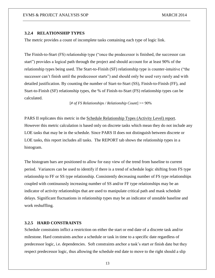#### **3.2.4 RELATIONSHIP TYPES**

The metric provides a count of incomplete tasks containing each type of logic link.

The Finish-to-Start (FS) relationship type ("once the predecessor is finished, the successor can start") provides a logical path through the project and should account for at least 90% of the relationship types being used. The Start-to-Finish (SF) relationship type is counter-intuitive ("the successor can't finish until the predecessor starts") and should only be used very rarely and with detailed justification. By counting the number of Start-to-Start (SS), Finish-to-Finish (FF), and Start-to-Finish (SF) relationship types, the % of Finish-to-Start (FS) relationship types can be calculated.

[*# of FS Relationships / Relationship Count*] >= 90%

PARS II replicates this metric in the Schedule Relationship Types (Activity Level) report. However this metric calculation is based only on discrete tasks which mean they do not include any LOE tasks that may be in the schedule. Since PARS II does not distinguish between discrete or LOE tasks, this report includes all tasks. The REPORT tab shows the relationship types in a histogram.

The histogram bars are positioned to allow for easy view of the trend from baseline to current period. Variances can be used to identify if there is a trend of schedule logic shifting from FS type relationship to FF or SS type relationship. Consistently decreasing number of FS type relationships coupled with continuously increasing number of SS and/or FF type relationships may be an indicator of activity relationships that are used to manipulate critical path and mask schedule delays. Significant fluctuations in relationship types may be an indicator of unstable baseline and work reshuffling.

#### **3.2.5 HARD CONSTRAINTS**

Schedule constraints inflict a restriction on either the start or end date of a discrete task and/or milestone. Hard constraints anchor a schedule or task in time to a specific date regardless of predecessor logic, i.e. dependencies. Soft constraints anchor a task's start or finish date but they respect predecessor logic, thus allowing the schedule end date to move to the right should a slip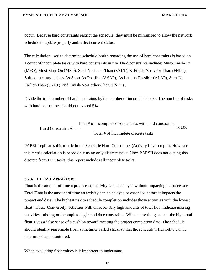occur. Because hard constraints restrict the schedule, they must be minimized to allow the network schedule to update properly and reflect current status.

The calculation used to determine schedule health regarding the use of hard constraints is based on a count of incomplete tasks with hard constraints in use. Hard constraints include: Must-Finish-On (MFO), Must-Start-On (MSO), Start-No-Later-Than (SNLT), & Finish-No-Later-Than (FNLT). Soft constraints such as As-Soon-As-Possible (ASAP), As Late As Possible (ALAP), Start-No-Earlier-Than (SNET), and Finish-No-Earlier-Than (FNET) .

Divide the total number of hard constraints by the number of incomplete tasks. The number of tasks with hard constraints should not exceed 5%.

Total # of incomplete discrete tasks with hard constraints  
Hard Constraint 
$$
\% =
$$
 Total # of incomplete discrete tasks  
 $x 100$ 

PARSII replicates this metric in the Schedule Hard Constraints (Activity Level) report. However this metric calculation is based only using only discrete tasks. Since PARSII does not distinguish discrete from LOE tasks, this report includes all incomplete tasks.

#### **3.2.6 FLOAT ANALYSIS**

Float is the amount of time a predecessor activity can be delayed without impacting its successor. Total Float is the amount of time an activity can be delayed or extended before it impacts the project end date. The highest risk to schedule completion includes those activities with the lowest float values. Conversely, activities with unreasonably high amounts of total float indicate missing activities, missing or incomplete logic, and date constraints. When these things occur, the high total float gives a false sense of a cushion toward meeting the project completion date. The schedule should identify reasonable float, sometimes called slack, so that the schedule's flexibility can be determined and monitored.

When evaluating float values is it important to understand: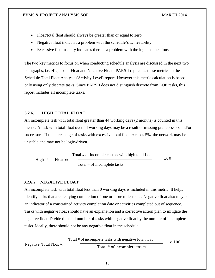- Float/total float should always be greater than or equal to zero.
- Negative float indicates a problem with the schedule's achievability.
- Excessive float usually indicates there is a problem with the logic connections.

The two key metrics to focus on when conducting schedule analysis are discussed in the next two paragraphs, i.e. High Total Float and Negative Float. PARSII replicates these metrics in the Schedule Total Float Analysis (Activity Level) report. However this metric calculation is based only using only discrete tasks. Since PARSII does not distinguish discrete from LOE tasks, this report includes all incomplete tasks.

#### **3.2.6.1 HIGH TOTAL FLOAT**

An incomplete task with total float greater than 44 working days (2 months) is counted in this metric. A task with total float over 44 working days may be a result of missing predecessors and/or successors. If the percentage of tasks with excessive total float exceeds 5%, the network may be unstable and may not be logic-driven.

100 Total # of incomplete tasks with high total float High Total Float  $% =$ Total # of incomplete tasks

#### **3.2.6.2 NEGATIVE FLOAT**

An incomplete task with total float less than 0 working days is included in this metric. It helps identify tasks that are delaying completion of one or more milestones. Negative float also may be an indicator of a constrained activity completion date or activities completed out of sequence. Tasks with negative float should have an explanation and a corrective action plan to mitigate the negative float. Divide the total number of tasks with negative float by the number of incomplete tasks. Ideally, there should not be any negative float in the schedule.

Total # of incomplete tasks with negative total float  
Negative Total float 
$$
\% =
$$
   
Total # of incomplete tasks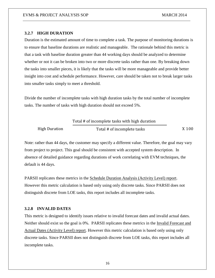## **3.2.7 HIGH DURATION**

Duration is the estimated amount of time to complete a task. The purpose of monitoring durations is to ensure that baseline durations are realistic and manageable. The rationale behind this metric is that a task with baseline duration greater than 44 working days should be analyzed to determine whether or not it can be broken into two or more discrete tasks rather than one. By breaking down the tasks into smaller pieces, it is likely that the tasks will be more manageable and provide better insight into cost and schedule performance. However, care should be taken not to break larger tasks into smaller tasks simply to meet a threshold.

Divide the number of incomplete tasks with high duration tasks by the total number of incomplete tasks. The number of tasks with high duration should not exceed 5%.

|                      | Total # of incomplete tasks with high duration |       |
|----------------------|------------------------------------------------|-------|
| <b>High Duration</b> | Total # of incomplete tasks                    | X 100 |

Note: rather than 44 days, the customer may specify a different value. Therefore, the goal may vary from project to project. This goal should be consistent with accepted system description. In absence of detailed guidance regarding durations of work correlating with EVM techniques, the default is 44 days.

PARSII replicates these metrics in the Schedule Duration Analysis (Activity Level) report. However this metric calculation is based only using only discrete tasks. Since PARSII does not distinguish discrete from LOE tasks, this report includes all incomplete tasks.

#### **3.2.8 INVALID DATES**

This metric is designed to identify issues relative to invalid forecast dates and invalid actual dates. Neither should exist so the goal is 0%. PARSII replicates these metrics in the Invalid Forecast and Actual Dates (Activity Level) report. However this metric calculation is based only using only discrete tasks. Since PARSII does not distinguish discrete from LOE tasks, this report includes all incomplete tasks.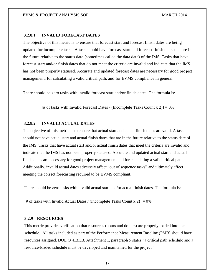#### **3.2.8.1 INVALID FORECAST DATES**

The objective of this metric is to ensure that forecast start and forecast finish dates are being updated for incomplete tasks. A task should have forecast start and forecast finish dates that are in the future relative to the status date (sometimes called the data date) of the IMS. Tasks that have forecast start and/or finish dates that do not meet the criteria are invalid and indicate that the IMS has not been properly statused. Accurate and updated forecast dates are necessary for good project management, for calculating a valid critical path, and for EVMS compliance in general.

There should be zero tasks with invalid forecast start and/or finish dates. The formula is:

[# of tasks with Invalid Forecast Dates / (Incomplete Tasks Count  $x 2$ )] = 0%

#### **3.2.8.2 INVALID ACTUAL DATES**

The objective of this metric is to ensure that actual start and actual finish dates are valid. A task should not have actual start and actual finish dates that are in the future relative to the status date of the IMS. Tasks that have actual start and/or actual finish dates that meet the criteria are invalid and indicate that the IMS has not been properly statused. Accurate and updated actual start and actual finish dates are necessary for good project management and for calculating a valid critical path. Additionally, invalid actual dates adversely affect "out of sequence tasks" and ultimately affect meeting the correct forecasting required to be EVMS compliant.

There should be zero tasks with invalid actual start and/or actual finish dates. The formula is:

[# of tasks with Invalid Actual Dates / (Incomplete Tasks Count x 2)] =  $0\%$ 

#### **3.2.9 RESOURCES**

This metric provides verification that resources (hours and dollars) are properly loaded into the schedule. All tasks included as part of the Performance Measurement Baseline (PMB) should have resources assigned. DOE O 413.3B, Attachment 1, paragraph 5 states "a critical path schedule and a resource-loaded schedule must be developed and maintained for the project".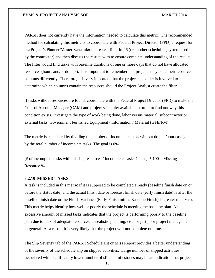PARSII does not currently have the information needed to calculate this metric. The recommended method for calculating this metric is to coordinate with Federal Project Director (FPD) a request for the Project's Planner/Master Scheduler to create a filter in P6 (or another scheduling system used by the contractor) and then discuss the results with to ensure complete understanding of the results. The filter would find tasks with baseline durations of one or more days that do not have allocated resources (hours and/or dollars). It is important to remember that projects may code their resource columns differently. Therefore, it is very important that the project scheduler is involved to determine which columns contain the resources should the Project Analyst create the filter.

If tasks without resources are found, coordinate with the Federal Project Director (FPD) to make the Control Account Manager (CAM) and project scheduler available in order to find out why this condition exists. Investigate the type of work being done, labor versus material, subcontractor or external tasks, Government Furnished Equipment / Information / Material (GFE/I/M).

The metric is calculated by dividing the number of incomplete tasks without dollars/hours assigned by the total number of incomplete tasks. The goal is 0%.

 $[#$  of incomplete tasks with missing resources / Incomplete Tasks Count]  $*100 =$  Missing Resource %

#### **3.2.10 MISSED TASKS**

A task is included in this metric if it is supposed to be completed already (baseline finish date on or before the status date) and the actual finish date or forecast finish date (early finish date) is after the baseline finish date or the Finish Variance (Early Finish minus Baseline Finish) is greater than zero. This metric helps identify how well or poorly the schedule is meeting the baseline plan. An excessive amount of missed tasks indicates that the project is performing poorly to the baseline plan due to lack of adequate resources, unrealistic planning, etc., or just poor project management in general. As a result, it is very likely that the project will not complete on time.

The Slip Severity tab of the **PARSII** Schedule Hit or Miss Report provides a better understanding of the severity of the schedule slip on slipped activities. Large number of slipped activities associated with significantly lower number of slipped milestones may be an indication that project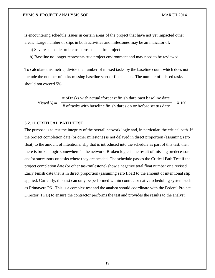is encountering schedule issues in certain areas of the project that have not yet impacted other areas. Large number of slips in both activities and milestones may be an indicator of:

- a) Severe schedule problems across the entire project
- b) Baseline no longer represents true project environment and may need to be reviewed

To calculate this metric, divide the number of missed tasks by the baseline count which does not include the number of tasks missing baseline start or finish dates. The number of missed tasks should not exceed 5%.

Missed  $\% = \frac{1}{\# \text{ of tasks with baseline finish dates on or before status date}}$ # of tasks with actual/forecast finish date past baseline date X 100

#### **3.2.11 CRITICAL PATH TEST**

The purpose is to test the integrity of the overall network logic and, in particular, the critical path. If the project completion date (or other milestone) is not delayed in direct proportion (assuming zero float) to the amount of intentional slip that is introduced into the schedule as part of this test, then there is broken logic somewhere in the network. Broken logic is the result of missing predecessors and/or successors on tasks where they are needed. The schedule passes the Critical Path Test if the project completion date (or other task/milestone) show a negative total float number or a revised Early Finish date that is in direct proportion (assuming zero float) to the amount of intentional slip applied. Currently, this test can only be performed within contractor native scheduling system such as Primavera P6. This is a complex test and the analyst should coordinate with the Federal Project Director (FPD) to ensure the contractor performs the test and provides the results to the analyst.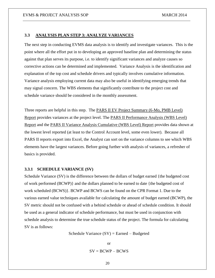#### **3.3 ANALYSIS PLAN STEP 3: ANALYZE VARIANCES**

The next step in conducting EVMS data analysis is to identify and investigate variances. This is the point where all the effort put in to developing an approved baseline plan and determining the status against that plan serves its purpose, i.e. to identify significant variances and analyze causes so corrective actions can be determined and implemented. Variance Analysis is the identification and explanation of the top cost and schedule drivers and typically involves cumulative information. Variance analysis employing current data may also be useful in identifying emerging trends that may signal concern. The WBS elements that significantly contribute to the project cost and schedule variance should be considered in the monthly assessment.

Three reports are helpful in this step. The PARS II EV Project Summary (6-Mo, PMB Level) Report provides variances at the project level. The PARS II Performance Analysis (WBS Level) Report and the PARS II Variance Analysis Cumulative (WBS Level) Report provides data shown at the lowest level reported (at least to the Control Account level, some even lower). Because all PARS II reports export into Excel, the Analyst can sort on the variance columns to see which WBS elements have the largest variances. Before going further with analysis of variances, a refresher of basics is provided.

#### **3.3.1 SCHEDULE VARIANCE (SV)**

Schedule Variance (SV) is the difference between the dollars of budget earned {the budgeted cost of work performed (BCWP)} and the dollars planned to be earned to date {the budgeted cost of work scheduled (BCWS)}. BCWP and BCWS can be found on the CPR Format 1. Due to the various earned value techniques available for calculating the amount of budget earned (BCWP), the SV metric should not be confused with a behind schedule or ahead of schedule condition. It should be used as a general indicator of schedule performance, but must be used in conjunction with schedule analysis to determine the true schedule status of the project. The formula for calculating SV is as follows:

Schedule Variance  $(SV)$  = Earned – Budgeted

or  $SV = BCWP - BCWS$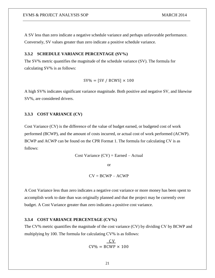A SV less than zero indicate a negative schedule variance and perhaps unfavorable performance. Conversely, SV values greater than zero indicate a positive schedule variance.

#### **3.3.2 SCHEDULE VARIANCE PERCENTAGE (SV%)**

The SV% metric quantifies the magnitude of the schedule variance (SV). The formula for calculating SV% is as follows:

$$
SV\% = [SV / BCWS] \times 100
$$

A high SV% indicates significant variance magnitude. Both positive and negative SV, and likewise SV%, are considered drivers.

#### **3.3.3 COST VARIANCE (CV)**

Cost Variance (CV) is the difference of the value of budget earned, or budgeted cost of work performed (BCWP), and the amount of costs incurred, or actual cost of work performed (ACWP). BCWP and ACWP can be found on the CPR Format 1. The formula for calculating CV is as follows:

Cost Variance 
$$
(CV)
$$
 = Earned – Actual

or

$$
CV = BCWP - ACWP
$$

A Cost Variance less than zero indicates a negative cost variance or more money has been spent to accomplish work to date than was originally planned and that the project may be currently over budget. A Cost Variance greater than zero indicates a positive cost variance.

#### **3.3.4 COST VARIANCE PERCENTAGE (CV%)**

The CV% metric quantifies the magnitude of the cost variance (CV) by dividing CV by BCWP and multiplying by 100. The formula for calculating CV% is as follows:

$$
CV\% = BCWP \times 100
$$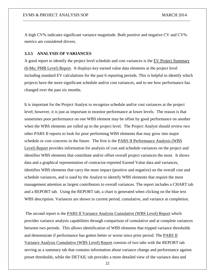A high CV% indicates significant variance magnitude. Both positive and negative CV and CV% metrics are considered drivers.

#### **3.3.5 ANALYSIS OF VARIANCES**

A good report to identify the project level schedule and cost variances is the EV Project Summary (6-Mo; PMB Level) Report. It displays key earned value data elements at the project level including standard EV calculations for the past 6 reporting periods. This is helpful to identify which projects have the more significant schedule and/or cost variances, and to see how performance has changed over the past six months.

It is important for the Project Analyst to recognize schedule and/or cost variances at the project level; however, it is just as important to monitor performance at lower levels. The reason is that sometimes poor performance on one WBS element may be offset by good performance on another when the WBS elements are rolled up to the project level. The Project Analyst should review two other PARS II reports to look for poor performing WBS elements that may grow into major schedule or cost concerns in the future. The first is the PARS II Performance Analysis (WBS Level) Report provides information for analysis of cost and schedule variances on the project and identifies WBS elements that contribute and/or offset overall project variances the most. It shows data and a graphical representation of contractor-reported Earned Value data and variances, identifies WBS elements that carry the most impact (positive and negative) on the overall cost and schedule variances, and is used by the Analyst to identify WBS elements that require the most management attention as largest contributors to overall variances. The report includes a CHART tab and a REPORT tab. Using the REPORT tab, a chart is generated when clicking on the blue text WBS description. Variances are shown in current period, cumulative, and variance at completion.

The second report is the PARS II Variance Analysis Cumulative (WBS Level) Report which provides variance analysis capabilities through comparison of cumulative and at complete variances between two periods. This allows identification of WBS elements that tripped variance thresholds and demonstrate if performance has gotten better or worse since prior period. The PARS II Variance Analysis Cumulative (WBS Level) Report consists of two tabs with the REPORT tab serving as a summary tab that contains information about variance change and performance against preset thresholds, while the DETAIL tab provides a more detailed view of the variance data and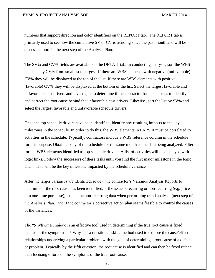numbers that support direction and color identifiers on the REPORT tab. The REPORT tab is primarily used to see how the cumulative SV or CV is trending since the past month and will be discussed more in the next step of the Analysis Plan.

The SV% and CV% fields are available on the DETAIL tab. In conducting analysis, sort the WBS elements by CV% from smallest to largest. If there are WBS elements with negative (unfavorable) CV% they will be displayed at the top of the list. If there are WBS elements with positive (favorable) CV% they will be displayed at the bottom of the list. Select the largest favorable and unfavorable cost drivers and investigate to determine if the contractor has taken steps to identify and correct the root cause behind the unfavorable cost drivers. Likewise, sort the list by SV% and select the largest favorable and unfavorable schedule drivers.

Once the top schedule drivers have been identified, identify any resulting impacts to the key milestones in the schedule. In order to do this, the WBS elements in PARS II must be correlated to activities in the schedule. Typically, contractors include a WBS reference column in the schedule for this purpose. Obtain a copy of the schedule for the same month as the data being analyzed. Filter for the WBS elements identified as top schedule drivers. A list of activities will be displayed with logic links. Follow the successors of these tasks until you find the first major milestone in the logic chain. This will be the key milestone impacted by the schedule variance.

After the larger variances are identified, review the contractor's Variance Analysis Reports to determine if the root cause has been identified, if the issue is recurring or non-recurring (e.g. price of a one-time purchase), isolate the non-recurring data when performing trend analysis (next step of the Analysis Plan), and if the contractor's corrective action plan seems feasible to control the causes of the variances.

The "5 Whys" technique is an effective tool used in determining if the true root cause is fixed instead of the symptoms. "5 Whys" is a questions-asking [method](http://en.wikipedia.org/wiki/Method) used to explore the [cause/effect](http://en.wikipedia.org/wiki/Cause_and_effect) relationships underlying a particular problem, with the goal of determining a [root cause](http://en.wikipedia.org/wiki/Root_cause) of a [defect](file://en.wiktionary.org/wiki/defect) or problem. Typically by the fifth question, the root cause is identified and can then be fixed rather than focusing efforts on the symptoms of the true root cause.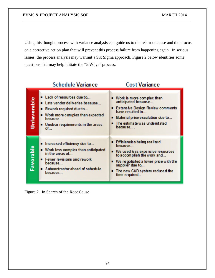Using this thought process with variance analysis can guide us to the real root cause and then focus on a corrective action plan that will prevent this process failure from happening again. In serious issues, the process analysis may warrant a Six Sigma approach. Figure 2 below identifies some questions that may help initiate the "5 Whys" process.

|             | <b>Schedule Variance</b>                                                                                                                                                                   | <b>Cost Variance</b>                                                                                                                                                                                                          |
|-------------|--------------------------------------------------------------------------------------------------------------------------------------------------------------------------------------------|-------------------------------------------------------------------------------------------------------------------------------------------------------------------------------------------------------------------------------|
| Unfavorable | Lack of resources due to<br>Late vendor deliveries because<br>Rework required due to<br>■ Work more complex than expected<br><u> Бесан</u> ке —<br>Unclear requirements in the areas<br>of | ■ Work is more complex than<br>anticipated because<br>Extensive Design Review comments<br>have resulted in<br>Material price escalation due to<br>The estimate was understated<br>because                                     |
| Favorable   | Increased efficiency due to<br>■ Work less complex than anticipated<br>in the areas of<br><b>E</b> Fewer revisions and rework<br>hecause<br>■ Subcontractor ahead of schedule<br>because   | Efficiencies being realized<br>because<br>■ We used less expensive resources<br>to accomplish the work and<br>■ We ne gotiated a lower price with the<br>supplier due to<br>■ The new CAD system reduced the<br>time required |

Figure 2. In Search of the Root Cause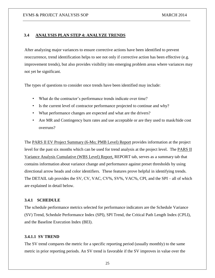#### **3.4 ANALYSIS PLAN STEP 4: ANALYZE TRENDS**

After analyzing major variances to ensure corrective actions have been identified to prevent reoccurrence, trend identification helps to see not only if corrective action has been effective (e.g. improvement trends), but also provides visibility into emerging problem areas where variances may not yet be significant.

The types of questions to consider once trends have been identified may include:

- What do the contractor's performance trends indicate over time?
- Is the current level of contractor performance projected to continue and why?
- What performance changes are expected and what are the drivers?
- Are MR and Contingency burn rates and use acceptable or are they used to mask/hide cost overruns?

The PARS II EV Project Summary (6-Mo; PMB Level) Report provides information at the project level for the past six months which can be used for trend analysis at the project level. The **PARS II** Variance Analysis Cumulative (WBS Level) Report, REPORT tab, serves as a summary tab that contains information about variance change and performance against preset thresholds by using directional arrow heads and color identifiers. These features prove helpful in identifying trends. The DETAIL tab provides the SV, CV, VAC, CV%, SV%, VAC%, CPI, and the SPI – all of which are explained in detail below.

#### **3.4.1 SCHEDULE**

The schedule performance metrics selected for performance indicators are the Schedule Variance (SV) Trend, Schedule Performance Index (SPI), SPI Trend, the Critical Path Length Index (CPLI), and the Baseline Execution Index (BEI).

#### **3.4.1.1 SV TREND**

The SV trend compares the metric for a specific reporting period (usually monthly) to the same metric in prior reporting periods. An SV trend is favorable if the SV improves in value over the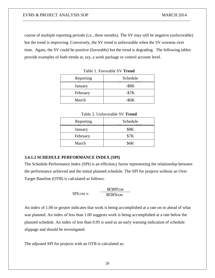course of multiple reporting periods (i.e., three months). The SV may still be negative (unfavorable) but the trend is improving. Conversely, the SV trend is unfavorable when the SV worsens over time. Again, the SV could be positive (favorable) but the trend is degrading. The following tables provide examples of both trends at, say, a work package or control account level.

| Reporting | Schedule    |
|-----------|-------------|
| January   | $-$ \$8 $K$ |
| February  | $-$ \$7 $K$ |
| March     | $-$ \$6 $K$ |

Table 1. Favorable SV **Trend**

| Table 2. Unfavorable SV <b>Trend</b> |          |  |
|--------------------------------------|----------|--|
| Reporting                            | Schedule |  |
|                                      |          |  |

| Reporting | Schedule    |
|-----------|-------------|
| January   | <b>\$8K</b> |
| February  | \$7K        |
| March     | <b>\$6K</b> |

#### **3.4.1.2 SCHEDULE PERFORMANCE INDEX (SPI)**

The Schedule Performance Index (SPI) is an efficiency factor representing the relationship between the performance achieved and the initial planned schedule. The SPI for projects without an Over Target Baseline (OTB) is calculated as follows:

$$
SPICUM = \frac{BCWPCUM}{BCWSCUM}
$$

An index of 1.00 or greater indicates that work is being accomplished at a rate on or ahead of what was planned. An index of less than 1.00 suggests work is being accomplished at a rate below the planned schedule. An index of less than 0.95 is used as an early warning indication of schedule slippage and should be investigated.

The adjusted SPI for projects with an OTB is calculated as: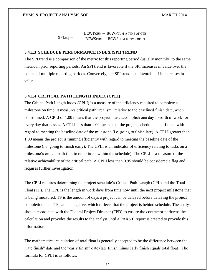$SPIADI =$ BCWPCUM − BCWPCUM @ TIME OF OTB BCWSCUM − BCWSCUM @ TIME OF OTB

#### **3.4.1.3 SCHEDULE PERFORMANCE INDEX (SPI) TREND**

The SPI trend is a comparison of the metric for this reporting period (usually monthly) to the same metric in prior reporting periods. An SPI trend is favorable if the SPI increases in value over the course of multiple reporting periods. Conversely, the SPI trend is unfavorable if it decreases in value.

#### **3.4.1.4 CRITICAL PATH LENGTH INDEX (CPLI)**

The Critical Path Length Index (CPLI) is a measure of the efficiency required to complete a milestone on time. It measures critical path "realism" relative to the baselined finish date, when constrained. A CPLI of 1.00 means that the project must accomplish one day's worth of work for every day that passes. A CPLI less than 1.00 means that the project schedule is inefficient with regard to meeting the baseline date of the milestone (i.e. going to finish late). A CPLI greater than 1.00 means the project is running efficiently with regard to meeting the baseline date of the milestone (i.e. going to finish early). The CPLI is an indicator of efficiency relating to tasks on a milestone's critical path (not to other tasks within the schedule). The CPLI is a measure of the relative achievability of the critical path. A CPLI less than 0.95 should be considered a flag and requires further investigation.

The CPLI requires determining the project schedule's Critical Path Length (CPL) and the Total Float (TF). The CPL is the length in work days from time now until the next project milestone that is being measured. TF is the amount of days a project can be delayed before delaying the project completion date. TF can be negative, which reflects that the project is behind schedule. The analyst should coordinate with the Federal Project Director (FPD) to ensure the contractor performs the calculation and provides the results to the analyst until a PARS II report is created to provide this information.

The mathematical calculation of total float is generally accepted to be the difference between the "late finish" date and the "early finish" date (late finish minus early finish equals total float). The formula for CPLI is as follows: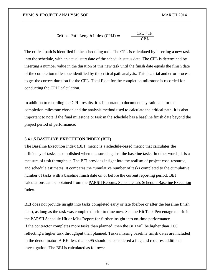$$
Critical Path Length Index (CPLI) = \frac{CPL + TF}{CPL}
$$

The critical path is identified in the scheduling tool. The CPL is calculated by inserting a new task into the schedule, with an actual start date of the schedule status date. The CPL is determined by inserting a number value in the duration of this new task until the finish date equals the finish date of the completion milestone identified by the critical path analysis. This is a trial and error process to get the correct duration for the CPL. Total Float for the completion milestone is recorded for conducting the CPLI calculation.

In addition to recording the CPLI results, it is important to document any rationale for the completion milestone chosen and the analysis method used to calculate the critical path. It is also important to note if the final milestone or task in the schedule has a baseline finish date beyond the project period of performance.

#### **3.4.1.5 BASELINE EXECUTION INDEX (BEI)**

The Baseline Execution Index (BEI) metric is a schedule-based metric that calculates the efficiency of tasks accomplished when measured against the baseline tasks. In other words, it is a measure of task throughput. The BEI provides insight into the realism of project cost, resource, and schedule estimates. It compares the cumulative number of tasks completed to the cumulative number of tasks with a baseline finish date on or before the current reporting period. BEI calculations can be obtained from the PARSII Reports, Schedule tab, Schedule Baseline Execution Index.

BEI does not provide insight into tasks completed early or late (before or after the baseline finish date), as long as the task was completed prior to time now. See the Hit Task Percentage metric in the PARSII Schedule Hit or Miss Report for further insight into on-time performance. If the contractor completes more tasks than planned, then the BEI will be higher than 1.00 reflecting a higher task throughput than planned. Tasks missing baseline finish dates are included in the denominator. A BEI less than 0.95 should be considered a flag and requires additional investigation. The BEI is calculated as follows: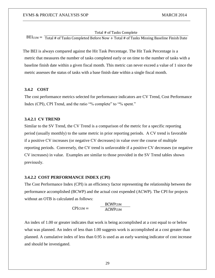#### Total # of Tasks Complete

 $BEI_{CUM} = \text{Total # of Tasks}$  Completed Before Now + Total # of Tasks Missing Baseline Finish Date

The BEI is always compared against the Hit Task Percentage. The Hit Task Percentage is a metric that measures the number of tasks completed early or on time to the number of tasks with a baseline finish date within a given fiscal month. This metric can never exceed a value of 1 since the metric assesses the status of tasks with a base finish date within a single fiscal month.

## **3.4.2 COST**

The cost performance metrics selected for performance indicators are CV Trend, Cost Performance Index (CPI), CPI Trend, and the ratio "% complete" to "% spent."

#### **3.4.2.1 CV TREND**

Similar to the SV Trend, the CV Trend is a comparison of the metric for a specific reporting period (usually monthly) to the same metric in prior reporting periods. A CV trend is favorable if a positive CV increases (or negative CV decreases) in value over the course of multiple reporting periods. Conversely, the CV trend is unfavorable if a positive CV decreases (or negative CV increases) in value. Examples are similar to those provided in the SV Trend tables shown previously.

#### **3.4.2.2 COST PERFORMANCE INDEX (CPI)**

The Cost Performance Index (CPI) is an efficiency factor representing the relationship between the performance accomplished (BCWP) and the actual cost expended (ACWP). The CPI for projects without an OTB is calculated as follows:

> $CPICUM =$ **BCWPCUM ACWPCUM**

An index of 1.00 or greater indicates that work is being accomplished at a cost equal to or below what was planned. An index of less than 1.00 suggests work is accomplished at a cost greater than planned. A cumulative index of less than 0.95 is used as an early warning indicator of cost increase and should be investigated.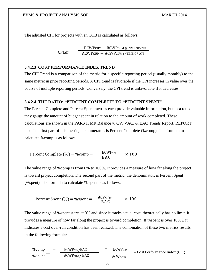The adjusted CPI for projects with an OTB is calculated as follows:

 $CPIADI =$ BCWPCUM − BCWPCUM @ TIME OF OTB ACWPCUM − ACWPCUM @ TIME OF OTB

#### **3.4.2.3 COST PERFORMANCE INDEX TREND**

The CPI Trend is a comparison of the metric for a specific reporting period (usually monthly) to the same metric in prior reporting periods. A CPI trend is favorable if the CPI increases in value over the course of multiple reporting periods. Conversely, the CPI trend is unfavorable if it decreases.

## **3.4.2.4 THE RATIO: "PERCENT COMPLETE" TO "PERCENT SPENT"**

The Percent Complete and Percent Spent metrics each provide valuable information, but as a ratio they gauge the amount of budget spent in relation to the amount of work completed. These calculations are shown in the PARS II MR Balance v. CV, VAC, & EAC Trends Report, REPORT tab. The first part of this metric, the numerator, is Percent Complete (%comp). The formula to calculate %comp is as follows:

Percent Complete  $(\% ) = \%$ comp =  $\frac{BCWP_{\text{CMM}}}{BAC}$  × 100

The value range of %comp is from 0% to 100%. It provides a measure of how far along the project is toward project completion. The second part of the metric, the denominator, is Percent Spent (%spent). The formula to calculate % spent is as follows:

$$
Percent Spent (%) = % spent = \frac{ACWP_{\text{CMM}}}{BAC} \times 100
$$

The value range of %spent starts at 0% and since it tracks actual cost, theoretically has no limit. It provides a measure of how far along the project is toward completion. If %spent is over 100%, it indicates a cost over-run condition has been realized. The combination of these two metrics results in the following formula:

$$
\frac{\%comp}{\% spent} = \frac{BCWP_{CUM}/BAC}{ACWP_{CUM}/BAC} = \frac{BCWP_{CUM}}{ACWP_{CUM}} = Cost Performance Index (CPI)
$$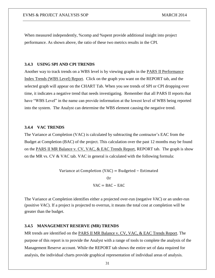When measured independently, %comp and %spent provide additional insight into project performance. As shown above, the ratio of these two metrics results in the CPI.

#### **3.4.3 USING SPI AND CPI TRENDS**

Another way to track trends on a WBS level is by viewing graphs in the PARS II Performance Index Trends (WBS Level) Report. Click on the graph you want on the REPORT tab, and the selected graph will appear on the CHART Tab. When you see trends of SPI or CPI dropping over time, it indicates a negative trend that needs investigating. Remember that all PARS II reports that have "WBS Level" in the name can provide information at the lowest level of WBS being reported into the system. The Analyst can determine the WBS element causing the negative trend.

#### **3.4.4 VAC TRENDS**

The Variance at Completion (VAC) is calculated by subtracting the contractor's EAC from the Budget at Completion (BAC) of the project. This calculation over the past 12 months may be found on the PARS II MR Balance v. CV, VAC, & EAC Trends Report, REPORT tab. The graph is show on the MR vs. CV & VAC tab. VAC in general is calculated with the following formula:

> Variance at Completion (VAC) = Budgeted  $-$  Estimated Or  $VAC = BAC - EAC$

The Variance at Completion identifies either a projected over-run (negative *VAC*) or an under-run (positive *VAC*). If a project is projected to overrun, it means the total cost at completion will be greater than the budget.

#### **3.4.5 MANAGEMENT RESERVE (MR) TRENDS**

MR trends are identified on the PARS II MR Balance v. CV, VAC, & EAC Trends Report. The purpose of this report is to provide the Analyst with a range of tools to complete the analysis of the Management Reserve account. While the REPORT tab shows the entire set of data required for analysis, the individual charts provide graphical representation of individual areas of analysis.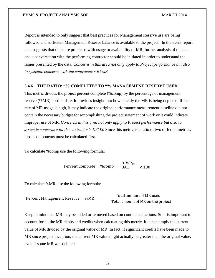Report is intended to only suggest that best practices for Management Reserve use are being followed and sufficient Management Reserve balance is available to the project. In the event report data suggests that there are problems with usage or availability of MR, further analysis of the data and a conversation with the performing contractor should be initiated in order to understand the issues presented by the data. *Concerns in this area not only apply to Project performance but also to systemic concerns with the contractor's EVMS.*

#### **3.4.6 THE RATIO: "% COMPLETE" TO "% MANAGEMENT RESERVE USED"**

This metric divides the project percent complete (%comp) by the percentage of management reserve (%MR) used to date. It provides insight into how quickly the MR is being depleted. If the rate of MR usage is high, it may indicate the original performance measurement baseline did not contain the necessary budget for accomplishing the project statement of work or it could indicate improper use of MR. *Concerns in this area not only apply to Project performance but also to systemic concerns with the contractor's EVMS.* Since this metric is a ratio of two different metrics, those components must be calculated first.

To calculate %comp use the following formula:

$$
Percent Complete = %comp = \frac{BCWP_{\text{dM}}}{BAC} \times 100
$$

To calculate %MR, use the following formula:

$$
Percent Management Reserve = %MR = \frac{Total amount of MR used}{Total amount of MR on the project}
$$

Keep in mind that MR may be added or removed based on contractual actions. So it is important to account for all the MR debits and credits when calculating this metric. It is not simply the current value of MR divided by the original value of MR. In fact, if significant credits have been made to MR since project inception, the current MR value might actually be greater than the original value, even if some MR was debited.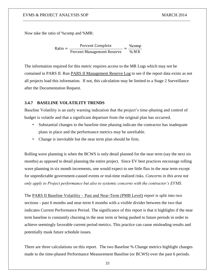Now take the ratio of %comp and %MR:

 $Ratio = \frac{Percent Complete}{\sqrt{1 - \frac{1}{1 - \frac{1}{1 - \frac{1}{1 - \frac{1}{1 - \frac{1}{1 - \frac{1}{1 - \frac{1}{1 - \frac{1}{1 - \frac{1}{1 - \frac{1}{1 - \frac{1}{1 - \frac{1}{1 - \frac{1}{1 - \frac{1}{1 - \frac{1}{1 - \frac{1}{1 - \frac{1}{1 - \frac{1}{1 - \frac{1}{1 - \frac{1}{1 - \frac{1}{1 - \frac{1}{1 - \frac{1}{1 - \frac{1}{1 - \frac{1}{1 - \frac{1}{1 - \frac{1}{1 - \frac{1}{1 - \frac{1}{1 - \frac{1$ Percent Management Reserve % M R

The information required for this metric requires access to the MR Logs which may not be contained in PARS II. Run PARS II Management Reserve Log to see if the report data exists as not all projects load this information. If not, this calculation may be limited to a Stage 2 Surveillance after the Documentation Request.

#### **3.4.7 BASELINE VOLATILITY TRENDS**

Baseline Volatility is an early warning indication that the project's time-phasing and control of budget is volatile and that a significant departure from the original plan has occurred.

- Substantial changes to the baseline time phasing indicate the contractor has inadequate plans in place and the performance metrics may be unreliable.
- Change is inevitable but the near term plan should be firm.

Rolling wave planning is when the BCWS is only detail planned for the near term (say the next six months) as opposed to detail planning the entire project. Since EV best practices encourage rolling wave planning in six month increments, one would expect to see little flux in the near term except for unpredictable government-caused events or real-time realized risks. *Concerns in this area not only apply to Project performance but also to systemic concerns with the contractor's EVMS.*

The PARS II Baseline Volatility – Past and Near-Term (PMB Level) report is split into two sections - past 6 months and near-term 6 months with a visible divider between the two that indicates Current Performance Period. The significance of this report is that it highlights if the near term baseline is constantly churning in the near term or being pushed to future periods in order to achieve seemingly favorable current period metrics. This practice can cause misleading results and potentially mask future schedule issues.

There are three calculations on this report. The two Baseline % Change metrics highlight changes made to the time-phased Performance Measurement Baseline (or BCWS) over the past 6 periods.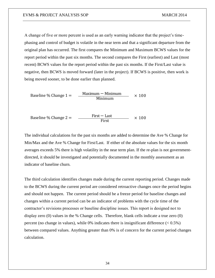A change of five or more percent is used as an early warning indicator that the project's timephasing and control of budget is volatile in the near term and that a significant departure from the original plan has occurred. The first compares the Minimum and Maximum BCWS values for the report period within the past six months. The second compares the First (earliest) and Last (most recent) BCWS values for the report period within the past six months. If the First/Last value is negative, then BCWS is moved forward (later in the project). If BCWS is positive, then work is being moved sooner, to be done earlier than planned.

Baseline % Change  $1 =$  $Maximum - Minimum \times 100$ Minimum

Baseline % Change  $2 =$  $First - Last$  × 100 First

The individual calculations for the past six months are added to determine the Ave % Change for Min/Max and the Ave % Change for First/Last. If either of the absolute values for the six month averages exceeds 5% there is high volatility in the near term plan. If the re-plan is not governmentdirected, it should be investigated and potentially documented in the monthly assessment as an indicator of baseline churn.

The third calculation identifies changes made during the current reporting period. Changes made to the BCWS during the current period are considered retroactive changes once the period begins and should not happen. The current period should be a freeze period for baseline changes and changes within a current period can be an indicator of problems with the cycle time of the contractor's revisions processes or baseline discipline issues. This report is designed not to display zero (0) values in the % Change cells. Therefore, blank cells indicate a true zero (0) percent (no change in values), while 0% indicates there is insignificant difference  $(< 0.5\%)$ between compared values. Anything greater than 0% is of concern for the current period changes calculation.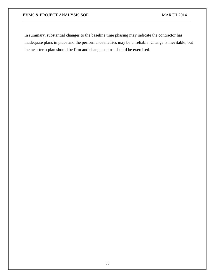In summary, substantial changes to the baseline time phasing may indicate the contractor has inadequate plans in place and the performance metrics may be unreliable. Change is inevitable, but the near term plan should be firm and change control should be exercised.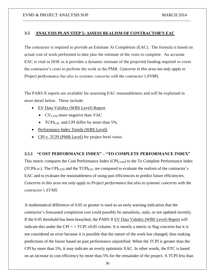#### **3.5 ANALYSIS PLAN STEP 5: ASSESS REALISM OF CONTRACTOR'S EAC**

The contractor is required to provide an Estimate At Completion (EAC). The formula is based on actual cost of work performed to date plus the estimate of the costs to complete. An accurate EAC is vital to DOE as it provides a dynamic estimate of the projected funding required to cover the contractor's costs to perform the work in the PMB. *Concerns in this area not only apply to Project performance but also to systemic concerns with the contractor's EVMS*.

The PARS II reports are available for assessing EAC reasonableness and will be explained in more detail below. These include:

- EV Data Validity (WBS Level) Report
	- $\bullet$  CV<sub>CUM</sub> more negative than VAC
	- TCPI $_{\text{EAC}}$  and CPI differ by more than 5%.
- Performance Index Trends (WBS Level)
- CPI v. TCPI (PMB Level) for project level views

#### **3.5.1 "COST PERFORMANCE INDEX" – "TO COMPLETE PERFORMANCE INDEX"**

This metric compares the Cost Performance Index ( $\text{CPI}_{\text{CUM}}$ ) to the To Complete Performance Index (TCPIEAC). The CPI<sub>CUM</sub> and the TCPI<sub>EAC</sub> are compared to evaluate the realism of the contractor's EAC and to evaluate the reasonableness of using past efficiencies to predict future efficiencies. *Concerns in this area not only apply to Project performance but also to systemic concerns with the contractor's EVMS.*

A mathematical difference of 0.05 or greater is used as an early warning indication that the contractor's forecasted completion cost could possibly be unrealistic, stale, or not updated recently. If the 0.05 threshold has been breached, the PARS II EV Data Validity (WBS Level) Report will indicate this under the CPI  $\langle$  > TCPI  $\pm$ 0.05 column. It is merely a metric to flag concerns but it is not considered an error because it is possible that the nature of the work has changed, thus making predictions of the future based on past performance unjustified. When the TCPI is greater than the CPI by more than 5%, it may indicate an overly optimistic EAC. In other words, the ETC is based on an increase in cost efficiency by more than 5% for the remainder of the project. A TCPI less than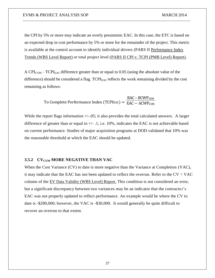the CPI by 5% or more may indicate an overly pessimistic EAC. In this case, the ETC is based on an expected drop in cost performance by 5% or more for the remainder of the project. This metric is available at the control account to identify individual drivers (PARS II Performance Index Trends (WBS Level Report) or total project level (PARS II CPI v. TCPI (PMB Level) Report).

A CPI<sub>CUM</sub> – TCPI<sub>EAC</sub> difference greater than or equal to 0.05 (using the absolute value of the difference) should be considered a flag.  $TCPI<sub>EAC</sub>$  reflects the work remaining divided by the cost remaining as follows:

> To Complete Performance Index (TCPIEAC) = EAC − ACWP<sub>CUM</sub> BAC – BCWP<sub>CUM</sub>

While the report flags information  $+/-05$ ; it also provides the total calculated answers. A larger difference of greater than or equal to  $+/-$  .1, i.e. 10%, indicates the EAC is not achievable based on current performance. Studies of major acquisition programs at DOD validated that 10% was the reasonable threshold at which the EAC should be updated.

#### **3.5.2 CV**<sub>CUM</sub> MORE NEGATIVE THAN VAC

When the Cost Variance (CV) to date is more negative than the Variance at Completion (VAC), it may indicate that the EAC has not been updated to reflect the overrun. Refer to the  $CV < VAC$ column of the EV Data Validity (WBS Level) Report. This condition is not considered an error, but a significant discrepancy between two variances may be an indicator that the contractor's EAC was not properly updated to reflect performance. An example would be where the CV to date is -\$280,000; however, the VAC is -\$30,000. It would generally be quite difficult to recover an overrun to that extent.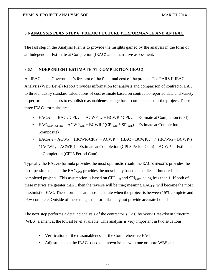#### **3.6 ANALYSIS PLAN STEP 6: PREDICT FUTURE PERFORMANCE AND AN IEAC**

The last step in the Analysis Plan is to provide the insights gained by the analysis in the form of an Independent Estimate at Completion (IEAC) and a narrative assessment.

#### **3.6.1 INDEPENDENT ESTIMATE AT COMPLETION (IEAC)**

An IEAC is the Government's forecast of the final total cost of the project. The **PARS II IEAC** Analysis (WBS Level) Report provides information for analysis and comparison of contractor EAC to three industry standard calculations of cost estimate based on contractor-reported data and variety of performance factors to establish reasonableness range for at-complete cost of the project. These three IEACs formulas are:

- EAC<sub>CPI</sub> = BAC / CPI<sub>cum</sub> = ACWP<sub>cum</sub> + BCWR / CPI<sub>cum</sub> = Estimate at Completion (CPI)
- EAC<sub>COMPOSITE</sub> = ACWP<sub>cum</sub> + BCWR / (CPI<sub>cum</sub> \* SPI<sub>cum</sub>) = Estimate at Completion (composite)
- $EAC<sub>CPI3</sub> = ACWP + (BCWR/CPI<sub>3</sub>) = ACWP + [(BAC BCWP<sub>cum</sub>) / [(BCWP<sub>4</sub> BCWP<sub>1</sub>)$ /  $(ACWP_4 - ACWP_1)$  = Estimate at Completion (CPI 3 Period Cum) = ACWP -= Estimate at Completion (CPI 3 Period Cum)

Typically the EAC<sub>CPI</sub> formula provides the most optimistic result, the EACCOMPOSITE provides the most pessimistic, and the EAC<sub>CPI3</sub> provides the most likely based on studies of hundreds of completed projects. This assumption is based on  $\text{CPI}_{\text{CUM}}$  and  $\text{SPI}_{\text{CUM}}$  being less than 1. If both of these metrics are greater than 1 then the reverse will be true; meaning  $EAC_{\text{CPI}}$  will become the most pessimistic IEAC. These formulas are most accurate when the project is between 15% complete and 95% complete. Outside of these ranges the formulas may not provide accurate bounds.

The next step performs a detailed analysis of the contractor's EAC by Work Breakdown Structure (WBS) element at the lowest level available. This analysis is very important in two situations:

- Verification of the reasonableness of the Comprehensive EAC
- Adjustments to the IEAC based on known issues with one or more WBS elements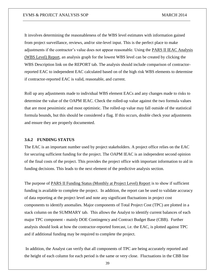It involves determining the reasonableness of the WBS level estimates with information gained from project surveillance, reviews, and/or site-level input. This is the perfect place to make adjustments if the contractor's value does not appear reasonable. Using the PARS II IEAC Analysis (WBS Level) Report, an analysis graph for the lowest WBS level can be created by clicking the WBS Description link on the REPORT tab. The analysis should include comparison of contractorreported EAC to independent EAC calculated based on of the high risk WBS elements to determine if contractor-reported EAC is valid, reasonable, and current.

Roll up any adjustments made to individual WBS element EACs and any changes made to risks to determine the value of the OAPM IEAC. Check the rolled-up value against the two formula values that are most pessimistic and most optimistic. The rolled-up value may fall outside of the statistical formula bounds, but this should be considered a flag. If this occurs, double check your adjustments and ensure they are properly documented.

#### **3.6.2 FUNDING STATUS**

The EAC is an important number used by project stakeholders. A project office relies on the EAC for securing sufficient funding for the project. The OAPM IEAC is an independent second opinion of the final costs of the project. This provides the project office with important information to aid in funding decisions. This leads to the next element of the predictive analysis section.

The purpose of PARS II Funding Status (Monthly at Project Level) Report is to show if sufficient funding is available to complete the project. In addition, the report can be used to validate accuracy of data reporting at the project level and note any significant fluctuations in project cost components to identify anomalies. Major components of Total Project Cost (TPC) are plotted in a stack column on the SUMMARY tab. This allows the Analyst to identify current balances of each major TPC component - mainly DOE Contingency and Contract Budget Base (CBB). Further analysis should look at how the contractor-reported forecast, i.e. the EAC, is plotted against TPC and if additional funding may be required to complete the project.

In addition, the Analyst can verify that all components of TPC are being accurately reported and the height of each column for each period is the same or very close. Fluctuations in the CBB line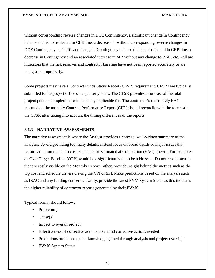without corresponding reverse changes in DOE Contingency, a significant change in Contingency balance that is not reflected in CBB line, a decrease in without corresponding reverse changes in DOE Contingency, a significant change in Contingency balance that is not reflected in CBB line, a decrease in Contingency and an associated increase in MR without any change to BAC, etc. - all are indicators that the risk reserves and contractor baseline have not been reported accurately or are being used improperly.

Some projects may have a Contract Funds Status Report (CFSR) requirement. CFSRs are typically submitted to the project office on a quarterly basis. The CFSR provides a forecast of the total project price at completion, to include any applicable fee. The contractor's most likely EAC reported on the monthly Contract Performance Report (CPR) should reconcile with the forecast in the CFSR after taking into account the timing differences of the reports.

#### **3.6.3 NARRATIVE ASSESSMENTS**

The narrative assessment is where the Analyst provides a concise, well-written summary of the analysis. Avoid providing too many details; instead focus on broad trends or major issues that require attention related to cost, schedule, or Estimated at Completion (EAC) growth. For example, an Over Target Baseline (OTB) would be a significant issue to be addressed. Do not repeat metrics that are easily visible on the Monthly Report; rather, provide insight behind the metrics such as the top cost and schedule drivers driving the CPI or SPI. Make predictions based on the analysis such as IEAC and any funding concerns. Lastly, provide the latest EVM System Status as this indicates the higher reliability of contractor reports generated by their EVMS.

Typical format should follow:

- Problem(s)
- $Cause(s)$
- Impact to overall project
- Effectiveness of corrective actions taken and corrective actions needed
- Predictions based on special knowledge gained through analysis and project oversight
- EVMS System Status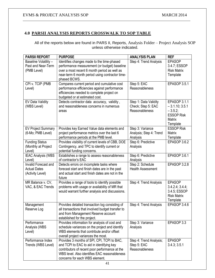# **4.0 PARSII ANALYSIS REPORTS CROSSWALK TO SOP TABLE**

All of the reports below are found in PARS II, Reports, Analysis Folder – Project Analysis SOP unless otherwise indicated.

| <b>PARSII REPORT</b>                | <b>PURPOSE</b>                                                                | <b>ANALYSIS PLAN</b>         | <b>REF</b>          |
|-------------------------------------|-------------------------------------------------------------------------------|------------------------------|---------------------|
| Baseline Volatility -               | Identifies changes made to the time-phased                                    | Step 4: Trend Analysis       | <b>EPASOP</b>       |
| Past and Near-Term                  | performance measurement (or budget) baseline                                  |                              | 3.4.7; ESSOP        |
| (PMB Level)                         | over a most recent 6 month period as well as                                  |                              | <b>Risk Matrix</b>  |
|                                     | near-term 6 month period using contractor time-                               |                              | Template            |
|                                     | phased BCWS.                                                                  |                              |                     |
| CPI v. TCIP (PMB                    | Compares current period and cumulative cost                                   | Step 5: EAC                  | <b>EPASOP 3.5.1</b> |
| Level)                              | performance efficiencies against performance                                  | Reasonableness               |                     |
|                                     | efficiencies needed to complete project on<br>budgeted or at estimated cost.  |                              |                     |
| EV Data Validity                    | Detects contractor data accuracy, validity,                                   | Step 1: Data Validity        | <b>EPASOP 3.1.1</b> |
| (WBS Level)                         | and reasonableness concerns in numerous                                       | Check; Step 5: EAC           | $-3.1.10; 3.5.1$    |
|                                     | areas                                                                         | Reasonableness               | $-3.5.2;$           |
|                                     |                                                                               |                              | <b>ESSOP Risk</b>   |
|                                     |                                                                               |                              | Matrix              |
|                                     |                                                                               |                              | Template            |
| <b>EV Project Summary</b>           | Provides key Earned Value data elements and                                   | Step 3: Variance             | <b>ESSOP Risk</b>   |
| (6-Mo; PMB Level)                   | project performance metrics over the last 6                                   | Analysis; Step 4: Trend      | Matrix              |
|                                     | performance periods at the PMB level.                                         | Analysis                     | Template            |
| <b>Funding Status</b>               | Provides visibility of current levels of CBB, DOE                             | Step 6: Predictive           | EPASOP 3.6.2        |
| (Monthly at Project                 | Contingency, and TPC to identify current or                                   | Analysis                     |                     |
| Level)                              | potential funding concerns.                                                   |                              |                     |
| <b>IEAC Analysis (WBS</b><br>Level) | Establishes a range to assess reasonableness<br>of contractor's EAC           | Step 6: Predictive           | EPASOP 3.6.1        |
| Invalid Forecast and                | Detects errors on incomplete tasks where                                      | Analysis<br>Step 2: Schedule | <b>EPASOP 3.2.8</b> |
| <b>Actual Dates</b>                 | forecast start and finish dates are in the past                               | <b>Health Assessment</b>     |                     |
| (Activity Level)                    | and actual start and finish dates are not in the                              |                              |                     |
|                                     | future                                                                        |                              |                     |
| MR Balance v. CV,                   | Provides a range of tools to identify possible                                | Step 4: Trend Analysis       | <b>EPASOP</b>       |
| VAC, & EAC Trends                   | problems with usage or availability of MR that                                |                              | 3.4.2.4; 3.4.4;     |
|                                     | would warrant further analysis and discussions.                               |                              | 3.4.5; ESSOP        |
|                                     |                                                                               |                              | <b>Risk Matrix</b>  |
|                                     |                                                                               |                              | Template            |
| Management                          | Provides detailed transaction log consisting of                               | Step 4: Trend Analysis       | EPASOP 3.4.6        |
| Reserve Log                         | all transactions that involved budget transfer to                             |                              |                     |
|                                     | and from Management Reserve account                                           |                              |                     |
| Performance                         | established for the project.<br>Provides information for analysis of cost and | Step 3: Variance             | EPASOP 3.3          |
| Analysis (WBS                       | schedule variances on the project and identify                                | Analysis                     |                     |
| Level)                              | WBS elements that contribute and/or offset                                    |                              |                     |
|                                     | overall project variances the most.                                           |                              |                     |
| Performance Index                   | Provides 3 months of SPI, CPI, TCPI to BAC,                                   | Step 4: Trend Analysis;      | <b>EPASOP</b>       |
| Trends (WBS Level)                  | and TCPI to EAC to aid in identifying key                                     | Step 5: EAC                  | 3.4.3; 3.5.1        |
|                                     | contributors of recent poor performance at the                                | Reasonableness               |                     |
|                                     | WBS level. Also identifies EAC reasonableness                                 |                              |                     |
|                                     | concerns for each WBS element.                                                |                              |                     |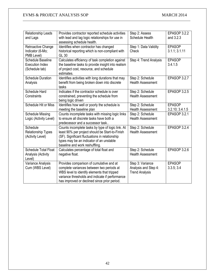| Relationship Leads<br>and Lags                                | Provides contractor reported schedule activities<br>with lead and lag logic relationships for use in<br>assessing schedule health.                                                                                                      | Step 2: Assess<br>Schedule Health                                 | <b>EPASOP 3.2.2</b><br>and 3.2.3 |
|---------------------------------------------------------------|-----------------------------------------------------------------------------------------------------------------------------------------------------------------------------------------------------------------------------------------|-------------------------------------------------------------------|----------------------------------|
| Retroactive Change<br>Indicator (6-Mo;<br>PMB Level)          | Identifies when contractor has changed<br>historical reporting which is non-compliant with<br>GL 30                                                                                                                                     | Step 1: Data Validity<br>Check                                    | <b>EPASOP</b><br>3.1.1; 3.1.11   |
| Schedule Baseline<br><b>Execution Index</b><br>(Schedule tab) | Calculates efficiency of task completion against<br>the baseline tasks to provide insight into realism<br>of project cost, resource, and schedule<br>estimates.                                                                         | Step 4: Trend Analysis                                            | <b>EPASOP</b><br>3.4.1.5         |
| <b>Schedule Duration</b><br>Analysis                          | Identifies activities with long durations that may<br>benefit from being broken down into discrete<br>tasks                                                                                                                             | Step 2: Schedule<br><b>Health Assessment</b>                      | EPASOP 3.2.7                     |
| Schedule Hard<br>Constraints                                  | Indicates if the contractor schedule is over<br>constrained, preventing the schedule from<br>being logic driven                                                                                                                         | Step 2: Schedule<br><b>Health Assessment</b>                      | <b>EPASOP 3.2.5</b>              |
| Schedule Hit or Miss                                          | Identifies how well or poorly the schedule is<br>meeting the baseline plan                                                                                                                                                              | Step 2: Schedule<br><b>Health Assessment</b>                      | <b>EPASOP</b><br>3.2.10; 3.4.1.5 |
| <b>Schedule Missing</b><br>Logic (Activity Level)             | Counts incomplete tasks with missing logic links<br>to ensure all discrete tasks have both a<br>predecessor and a successor task                                                                                                        | Step 2: Schedule<br><b>Health Assessment</b>                      | <b>EPASOP 3.2.1</b>              |
| Schedule<br><b>Relationship Types</b><br>(Activity Level)     | Counts incomplete tasks by type of logic link. At<br>least 90% per project should be Start-to-Finish<br>(SF). Significant fluctuations in relationship<br>types may be an indicator of an unstable<br>baseline and work reshuffling.    | Step 2: Schedule<br><b>Health Assessment</b>                      | EPASOP 3.2.4                     |
| <b>Schedule Total Float</b><br>Analysis (Activity<br>Level)   | Calculates percentage of total float and<br>negative float.                                                                                                                                                                             | Step 2: Schedule<br><b>Health Assessment</b>                      | EPASOP 3.2.6                     |
| Variance Analysis<br>Cum (WBS Level)                          | Provides comparison of cumulative and at<br>complete variances between two periods at<br>WBS level to identify elements that tripped<br>variance thresholds and indicate if performance<br>has improved or declined since prior period. | Step 3: Variance<br>Analysis and Step 4:<br><b>Trend Analysis</b> | <b>EPASOP</b><br>3.3.5; 3.4      |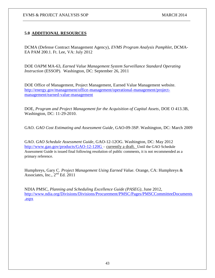# **5.0 ADDITIONAL RESOURCES**

DCMA (Defense Contract Management Agency), *EVMS Program Analysis Pamphlet,* DCMA-EA PAM 200.1. Ft. Lee, VA: July 2012

DOE OAPM MA-63, *Earned Value Management System Surveillance Standard Operating Instruction* (ESSOP). Washington, DC: September 26, 2011

DOE Office of Management, Project Management, Earned Value Management website. [http://energy.gov/management/office-management/operational-management/project](http://energy.gov/management/office-management/operational-management/project-management/earned-value-management)[management/earned-value-management](http://energy.gov/management/office-management/operational-management/project-management/earned-value-management)

DOE, *Program and Project Management for the Acquisition of Capital Assets*, DOE O 413.3B, Washington, DC: 11-29-2010.

GAO. *GAO Cost Estimating and Assessment Guide*, GAO-09-3SP. Washington, DC: March 2009

GAO. *GAO Schedule Assessment Guide*, GAO-12-12OG. Washington, DC: May 2012 <http://www.gao.gov/products/GAO-12-120G> – currently a draft. Until the GAO Schedule Assessment Guide is issued final following resolution of public comments, it is not recommended as a primary reference.

Humphreys, Gary C. *Project Management Using Earned Value.* Orange, CA: Humphreys & Associates, Inc.,  $2<sup>nd</sup>$  Ed. 2011

NDIA PMSC, *Planning and Scheduling Excellence Guide (PASEG)*, June 2012, [http://www.ndia.org/Divisions/Divisions/Procurement/PMSC/Pages/PMSCCommitteeDocuments](http://www.ndia.org/Divisions/Divisions/Procurement/PMSC/Pages/PMSCCommitteeDocuments.aspx) [.aspx](http://www.ndia.org/Divisions/Divisions/Procurement/PMSC/Pages/PMSCCommitteeDocuments.aspx)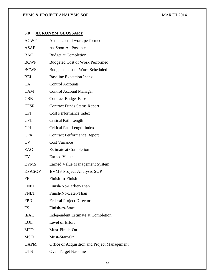# **6.0 ACRONYM GLOSSARY**

| <b>ACWP</b>   | Actual cost of work performed                |
|---------------|----------------------------------------------|
| <b>ASAP</b>   | As-Soon-As-Possible                          |
| <b>BAC</b>    | <b>Budget at Completion</b>                  |
| <b>BCWP</b>   | <b>Budgeted Cost of Work Performed</b>       |
| <b>BCWS</b>   | Budgeted cost of Work Scheduled              |
| <b>BEI</b>    | <b>Baseline Execution Index</b>              |
| CA            | <b>Control Accounts</b>                      |
| <b>CAM</b>    | <b>Control Account Manager</b>               |
| <b>CBB</b>    | <b>Contract Budget Base</b>                  |
| <b>CFSR</b>   | <b>Contract Funds Status Report</b>          |
| <b>CPI</b>    | <b>Cost Performance Index</b>                |
| <b>CPL</b>    | <b>Critical Path Length</b>                  |
| <b>CPLI</b>   | Critical Path Length Index                   |
| <b>CPR</b>    | <b>Contract Performance Report</b>           |
| <b>CV</b>     | <b>Cost Variance</b>                         |
| EAC           | <b>Estimate at Completion</b>                |
| EV            | <b>Earned Value</b>                          |
| <b>EVMS</b>   | <b>Earned Value Management System</b>        |
| <b>EPASOP</b> | <b>EVMS Project Analysis SOP</b>             |
| FF            | Finish-to-Finish                             |
| <b>FNET</b>   | Finish-No-Earlier-Than                       |
| <b>FNLT</b>   | Finish-No-Later-Than                         |
| <b>FPD</b>    | <b>Federal Project Director</b>              |
| <b>FS</b>     | Finish-to-Start                              |
| <b>IEAC</b>   | Independent Estimate at Completion           |
| LOE           | Level of Effort                              |
| <b>MFO</b>    | Must-Finish-On                               |
| <b>MSO</b>    | Must-Start-On                                |
| <b>OAPM</b>   | Office of Acquisition and Project Management |
| <b>OTB</b>    | <b>Over Target Baseline</b>                  |
|               |                                              |